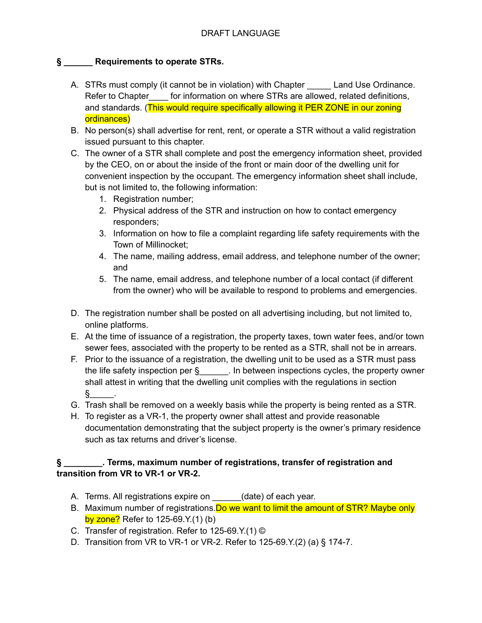## **§ \_\_\_\_\_\_ Requirements to operate STRs.**

- A. STRs must comply (it cannot be in violation) with Chapter Land Use Ordinance. Refer to Chapter for information on where STRs are allowed, related definitions, and standards. (This would require specifically allowing it PER ZONE in our zoning ordinances)
- B. No person(s) shall advertise for rent, rent, or operate a STR without a valid registration issued pursuant to this chapter.
- C. The owner of a STR shall complete and post the emergency information sheet, provided by the CEO, on or about the inside of the front or main door of the dwelling unit for convenient inspection by the occupant. The emergency information sheet shall include, but is not limited to, the following information:
	- 1. Registration number;
	- 2. Physical address of the STR and instruction on how to contact emergency responders;
	- 3. Information on how to file a complaint regarding life safety requirements with the Town of Millinocket;
	- 4. The name, mailing address, email address, and telephone number of the owner; and
	- 5. The name, email address, and telephone number of a local contact (if different from the owner) who will be available to respond to problems and emergencies.
- D. The registration number shall be posted on all advertising including, but not limited to, online platforms.
- E. At the time of issuance of a registration, the property taxes, town water fees, and/or town sewer fees, associated with the property to be rented as a STR, shall not be in arrears.
- F. Prior to the issuance of a registration, the dwelling unit to be used as a STR must pass the life safety inspection per  $\S$  . In between inspections cycles, the property owner shall attest in writing that the dwelling unit complies with the regulations in section  $\S$  .
- G. Trash shall be removed on a weekly basis while the property is being rented as a STR.
- H. To register as a VR-1, the property owner shall attest and provide reasonable documentation demonstrating that the subject property is the owner's primary residence such as tax returns and driver's license.

## **§ \_\_\_\_\_\_\_\_. Terms, maximum number of registrations, transfer of registration and transition from VR to VR-1 or VR-2.**

- A. Terms. All registrations expire on \_\_\_\_\_\_(date) of each year.
- B. Maximum number of registrations. Do we want to limit the amount of STR? Maybe only by zone? Refer to 125-69.Y.(1) (b)
- C. Transfer of registration. Refer to 125-69.Y.(1) ©
- D. Transition from VR to VR-1 or VR-2. Refer to 125-69.Y.(2) (a) § 174-7.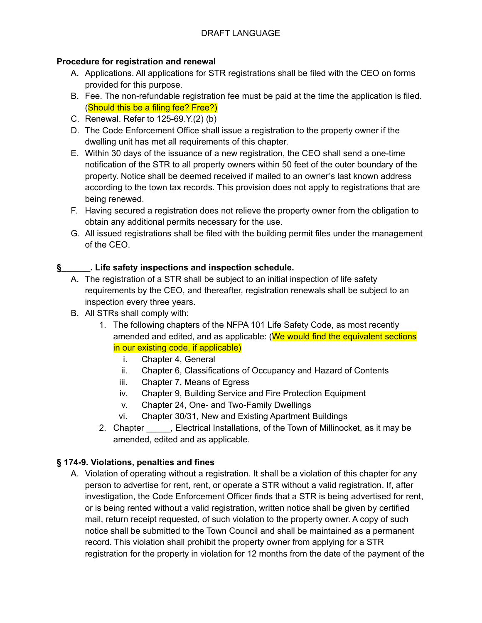### **Procedure for registration and renewal**

- A. Applications. All applications for STR registrations shall be filed with the CEO on forms provided for this purpose.
- B. Fee. The non-refundable registration fee must be paid at the time the application is filed. (Should this be a filing fee? Free?)
- C. Renewal. Refer to 125-69.Y.(2) (b)
- D. The Code Enforcement Office shall issue a registration to the property owner if the dwelling unit has met all requirements of this chapter.
- E. Within 30 days of the issuance of a new registration, the CEO shall send a one-time notification of the STR to all property owners within 50 feet of the outer boundary of the property. Notice shall be deemed received if mailed to an owner's last known address according to the town tax records. This provision does not apply to registrations that are being renewed.
- F. Having secured a registration does not relieve the property owner from the obligation to obtain any additional permits necessary for the use.
- G. All issued registrations shall be filed with the building permit files under the management of the CEO.

### **§\_\_\_\_\_\_. Life safety inspections and inspection schedule.**

- A. The registration of a STR shall be subject to an initial inspection of life safety requirements by the CEO, and thereafter, registration renewals shall be subject to an inspection every three years.
- B. All STRs shall comply with:
	- 1. The following chapters of the NFPA 101 Life Safety Code, as most recently amended and edited, and as applicable: (We would find the equivalent sections in our existing code, if applicable)
		- i. Chapter 4, General
		- ii. Chapter 6, Classifications of Occupancy and Hazard of Contents
		- iii. Chapter 7, Means of Egress
		- iv. Chapter 9, Building Service and Fire Protection Equipment
		- v. Chapter 24, One- and Two-Family Dwellings
		- vi. Chapter 30/31, New and Existing Apartment Buildings
	- 2. Chapter \_\_\_\_\_, Electrical Installations, of the Town of Millinocket, as it may be amended, edited and as applicable.

### **§ 174-9. Violations, penalties and fines**

A. Violation of operating without a registration. It shall be a violation of this chapter for any person to advertise for rent, rent, or operate a STR without a valid registration. If, after investigation, the Code Enforcement Officer finds that a STR is being advertised for rent, or is being rented without a valid registration, written notice shall be given by certified mail, return receipt requested, of such violation to the property owner. A copy of such notice shall be submitted to the Town Council and shall be maintained as a permanent record. This violation shall prohibit the property owner from applying for a STR registration for the property in violation for 12 months from the date of the payment of the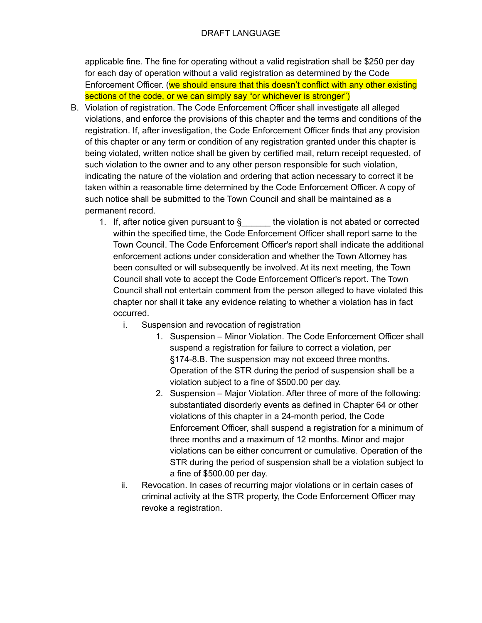#### DRAFT LANGUAGE

applicable fine. The fine for operating without a valid registration shall be \$250 per day for each day of operation without a valid registration as determined by the Code Enforcement Officer. (we should ensure that this doesn't conflict with any other existing sections of the code, or we can simply say "or whichever is stronger")

- B. Violation of registration. The Code Enforcement Officer shall investigate all alleged violations, and enforce the provisions of this chapter and the terms and conditions of the registration. If, after investigation, the Code Enforcement Officer finds that any provision of this chapter or any term or condition of any registration granted under this chapter is being violated, written notice shall be given by certified mail, return receipt requested, of such violation to the owner and to any other person responsible for such violation, indicating the nature of the violation and ordering that action necessary to correct it be taken within a reasonable time determined by the Code Enforcement Officer. A copy of such notice shall be submitted to the Town Council and shall be maintained as a permanent record.
	- 1. If, after notice given pursuant to  $\S$  the violation is not abated or corrected within the specified time, the Code Enforcement Officer shall report same to the Town Council. The Code Enforcement Officer's report shall indicate the additional enforcement actions under consideration and whether the Town Attorney has been consulted or will subsequently be involved. At its next meeting, the Town Council shall vote to accept the Code Enforcement Officer's report. The Town Council shall not entertain comment from the person alleged to have violated this chapter nor shall it take any evidence relating to whether a violation has in fact occurred.
		- i. Suspension and revocation of registration
			- 1. Suspension Minor Violation. The Code Enforcement Officer shall suspend a registration for failure to correct a violation, per §174-8.B. The suspension may not exceed three months. Operation of the STR during the period of suspension shall be a violation subject to a fine of \$500.00 per day.
			- 2. Suspension Major Violation. After three of more of the following: substantiated disorderly events as defined in Chapter 64 or other violations of this chapter in a 24-month period, the Code Enforcement Officer, shall suspend a registration for a minimum of three months and a maximum of 12 months. Minor and major violations can be either concurrent or cumulative. Operation of the STR during the period of suspension shall be a violation subject to a fine of \$500.00 per day.
		- ii. Revocation. In cases of recurring major violations or in certain cases of criminal activity at the STR property, the Code Enforcement Officer may revoke a registration.